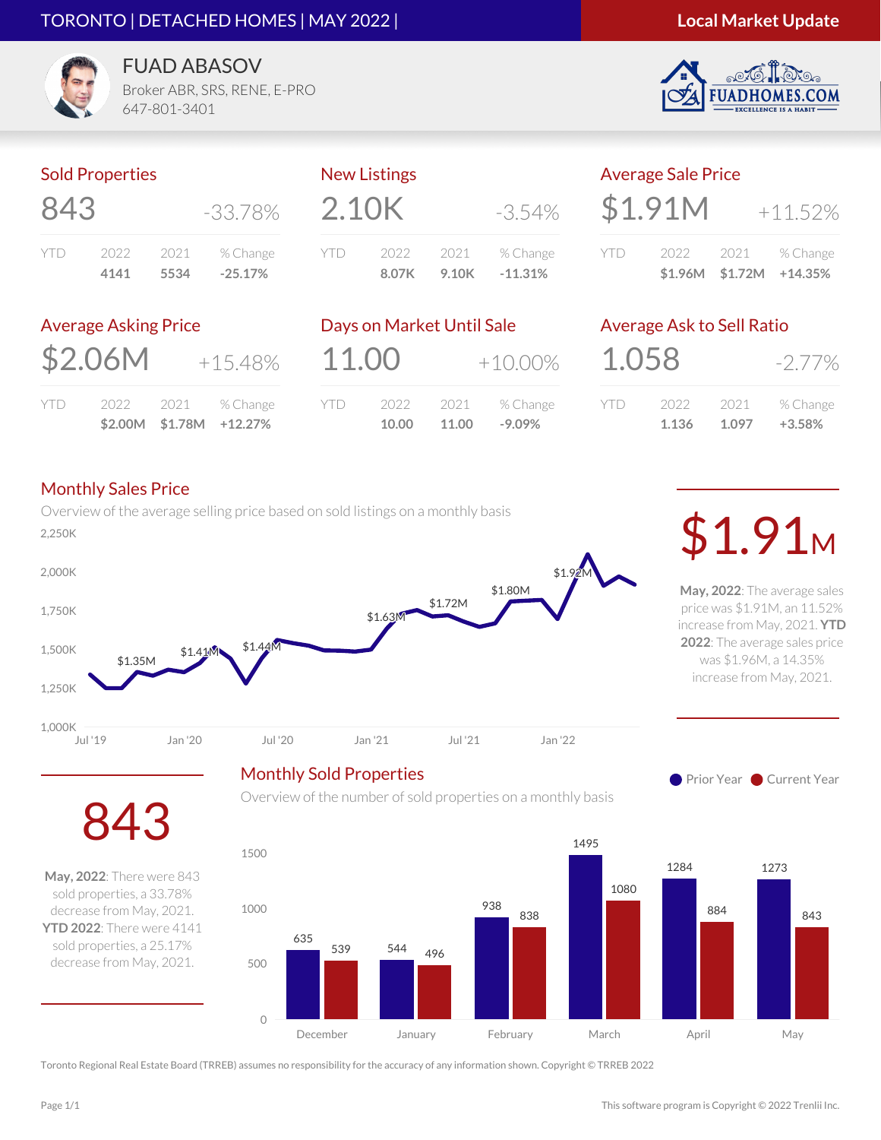#### TORONTO | DETACHED HOMES | MAY 2022 |



.COM



FUAD ABASOV Broker ABR, SRS, RENE, E-PRO

Sold Properties

| 843  |      |        | -33.78%   |  |
|------|------|--------|-----------|--|
| YII) | 2022 | 2021 - | % Change  |  |
|      | 4141 | 5534   | $-25.17%$ |  |

647-801-3401

|            | <b>New Listings</b> |       |            |  |
|------------|---------------------|-------|------------|--|
| 2.10K      |                     |       | $-3.54\%$  |  |
| <b>YTD</b> | 2022                | 2021  | % Change   |  |
|            | 8.07K               | 9.10K | $-11.31\%$ |  |

| <b>Average Sale Price</b> |         |                   |               |
|---------------------------|---------|-------------------|---------------|
|                           | \$1.91M |                   | $+11.52%$     |
| <b>YTD</b>                | 2022    |                   | 2021 % Change |
|                           |         | $$1.96M$ $$1.72M$ | $+14.35\%$    |

#### Average Asking Price

| \$2.06M | $+15.48%$ |
|---------|-----------|
|         |           |

|     |      |        | $$2.00M$ $$1.78M$ $+12.27\%$ |
|-----|------|--------|------------------------------|
| YTD | 2022 | - 2021 | % Change                     |

|       | Days on Market Until Sale |       |            |
|-------|---------------------------|-------|------------|
| 11.00 |                           |       | $+10.00\%$ |
| YTD   | 2022                      | 2021  | % Change   |
|       | 10.00                     | 11.00 | $-9.09%$   |

Overview of the number of sold properties on a monthly basis

### Average Ask to Sell Ratio

| 1.058 |       |        | $-2.77\%$ |
|-------|-------|--------|-----------|
| YID   | 2022  | - 2021 | % Change  |
|       | 1.136 | 1.097  | $+3.58%$  |

#### Monthly Sales Price

843

**May, 2022**: There were 843 sold properties, a 33.78% decrease from May, 2021. **YTD 2022**: There were 4141 sold properties, a 25.17% decrease from May, 2021.

Overview of the average selling price based on sold listings on a monthly basis \$1.35M \$1.41M \$1.44M \$1.63M \$1.72M \$1.80M \$1.92M Jul '19 Jan '20 Jul '20 Jan '21 Jul '21 Jan '22 1,000K 1,250K 1,500K 1,750K 2,000K  $\mathcal{L}_{2,250K}$ Monthly Sold Properties

**May, 2022**: The average sales price was \$1.91M, an 11.52% increase from May, 2021. **YTD 2022**: The average sales price was \$1.96M, a 14.35% increase from May, 2021.

**Prior Year Current Year** 

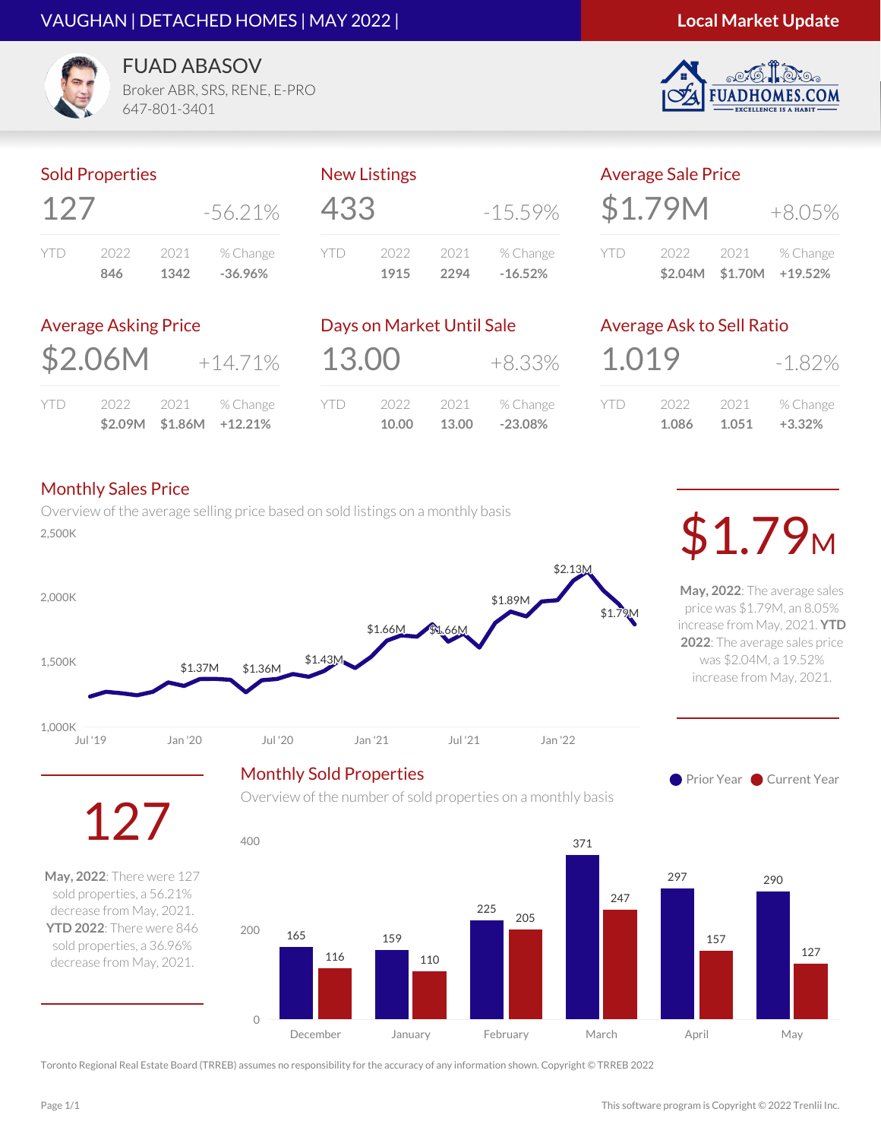#### VAUGHAN | DETACHED HOMES | MAY 2022 |

#### **Local Market Update**

S.COM



FUAD ABASOV Broker ABR, SRS, RENE, E-PRO

647-801-3401

#### Sold Properties

| 127  |      |      | $-56.21\%$ |
|------|------|------|------------|
| YII) | 2022 | 2021 | % Change   |
|      | 846  | 1342 | $-36.96%$  |

# New Listings 433 -15.59%

|      | 1915 | 2294  | $-16.52%$ |
|------|------|-------|-----------|
| YTD. | 2022 | -2021 | % Change  |
|      |      |       |           |

| <b>Average Sale Price</b> |         |      |          |  |
|---------------------------|---------|------|----------|--|
|                           | \$1.79M |      | $+8.05%$ |  |
|                           | 2022    | 2021 | % Change |  |

**\$2.04M \$1.70M +19.52%**

#### Average Asking Price

|     |      |      | $$2.09M$ $$1.86M$ $+12.21\%$ |
|-----|------|------|------------------------------|
| YTD | 2022 | 2021 | % Change                     |

|       | Days on Market Until Sale |       |           |
|-------|---------------------------|-------|-----------|
| 13.00 |                           |       | +8.33%    |
| YTD   | 2022                      | 2021  | % Change  |
|       | 10.00                     | 13.00 | $-23.08%$ |

# Average Ask to Sell Ratio

| 1.019 |       |       | $-1.82\%$ |
|-------|-------|-------|-----------|
| YID   | 2022  | 2021  | % Change  |
|       | 1.086 | 1.051 | $+3.32%$  |

#### Monthly Sales Price

Overview of the average selling price based on sold listings on a monthly basis Overview of the average sening price based on sold ilstings on a monthly basis **1.79M** 





**May, 2022**: The average sales price was \$1.79M, an 8.05% increase from May, 2021. **YTD 2022**: The average sales price was \$2.04M, a 19.52% increase from May, 2021.





**May, 2022**: There were 127 sold properties, a 56.21% decrease from May, 2021. **YTD 2022**: There were 846 sold properties, a 36.96% decrease from May, 2021.

127

Overview of the number of sold properties on a monthly basis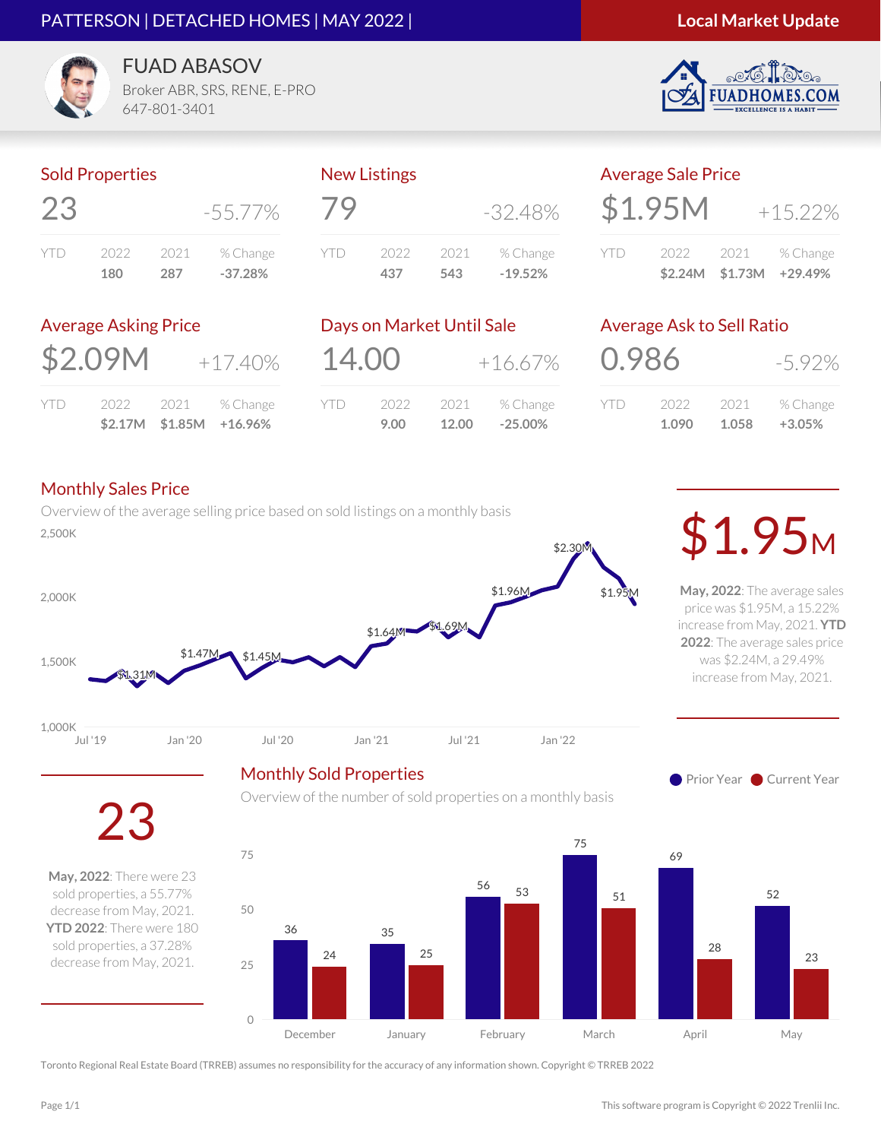#### PATTERSON | DETACHED HOMES | MAY 2022 |

#### **Local Market Update**

.COM



FUAD ABASOV

Broker ABR, SRS, RENE, E-PRO 647-801-3401

#### Sold Properties

|      |      |      | $-55.77\%$ |
|------|------|------|------------|
| YII) | 2022 | 2021 | % Change   |
|      | 180  | 287  | $-37.28%$  |

# New Listings 79 -32.48% YTD 2022 2021 % Change **437 543 -19.52%**

|     | <b>Average Sale Price</b> |                         |
|-----|---------------------------|-------------------------|
|     | \$1.95M                   | $+15.22%$               |
| YTD | 2022                      | 2021 % Change           |
|     |                           | \$2.24M \$1.73M +29.49% |

#### Average Asking Price

| \$2.09M |  | $+17.40%$          |
|---------|--|--------------------|
| YTD     |  | 2022 2021 % Change |

**\$2.17M \$1.85M +16.96%**

|       | Days on Market Until Sale |               |                       |
|-------|---------------------------|---------------|-----------------------|
| 14.00 |                           |               | $+16.67%$             |
| YTD   | 2022<br>9.00              | 2021<br>12.00 | % Change<br>$-25.00%$ |
|       |                           |               |                       |

#### Average Ask to Sell Ratio

| 0.986 |       |       | $-5.92\%$ |
|-------|-------|-------|-----------|
| Y I D | 2022  | 2021  | % Change  |
|       | 1.090 | 1.058 | $+3.05%$  |

#### Monthly Sales Price

Overview of the average selling price based on sold listings on a monthly basis  $\mathcal{L}_{2,500K}$ 



Monthly Sold Properties

**May, 2022**: The average sales price was \$1.95M, a 15.22% increase from May, 2021. **YTD 2022**: The average sales price was \$2.24M, a 29.49% increase from May, 2021.





**May, 2022**: There were 23 sold properties, a 55.77% decrease from May, 2021. **YTD 2022**: There were 180 sold properties, a 37.28% decrease from May, 2021.

Overview of the number of sold properties on a monthly basis

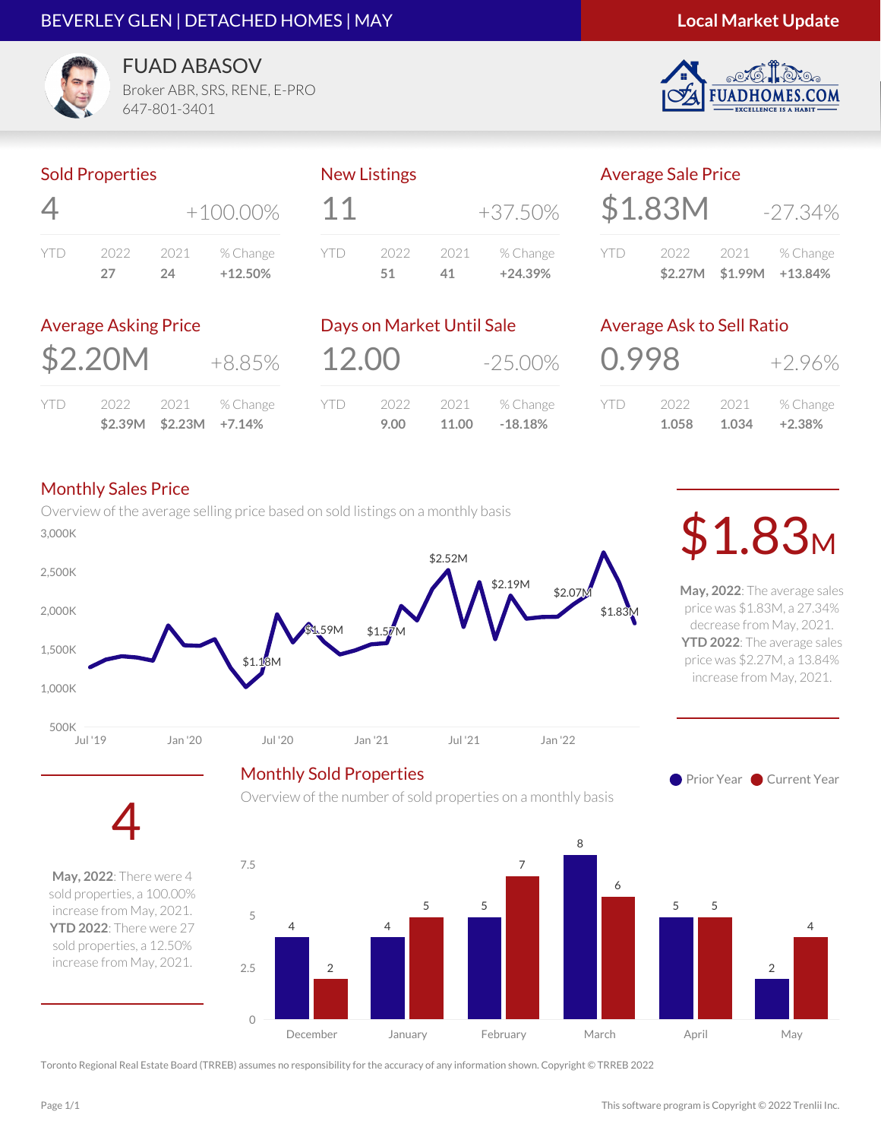#### BEVERLEY GLEN | DETACHED HOMES | MAY



**FUADHOM** 

**ES.COM** 



**FUAD ABASOV** Broker ABR, SRS, RENE, E-PRO

647-801-3401

#### Sold Properties

| 4   |      | $+100.00\%$ |           |
|-----|------|-------------|-----------|
| YID | 2022 | 2021        | % Change  |
|     | 27   | 24          | $+12.50%$ |

#### New Listings

| 11         |      |      | +37.50%   |
|------------|------|------|-----------|
| <b>YTD</b> | 2022 | 2021 | % Change  |
|            | 51   | 41.  | $+24.39%$ |

# Average Sale Price  $$1.83M$   $-27.34\%$

YTD 2022 2021 % Change **\$2.27M \$1.99M +13.84%**

#### Average Asking Price

 $$2.20M$   $+8.85\%$ 

|     |      | $$2.39M$ $$2.23M$ $+7.14\%$ |          |
|-----|------|-----------------------------|----------|
| YTD | 2022 | 2021                        | % Change |

|       | Days on Market Until Sale |       |            |
|-------|---------------------------|-------|------------|
| 12.00 |                           |       | $-25.00\%$ |
| YTD   | 2022                      | 2021  | % Change   |
|       | 9.00                      | 11.00 | $-18.18%$  |

Overview of the number of sold properties on a monthly basis

# Average Ask to Sell Ratio

| 0.998 |       |        | $+2.96%$ |
|-------|-------|--------|----------|
| YID   | 2022  | 2021 - | % Change |
|       | 1.058 | 1.034  | $+2.38%$ |

#### Monthly Sales Price

Overview of the average selling price based on sold listings on a monthly basis  $\mathfrak{so}_{\mathbb{R}}$   $\mathfrak{so}_{\mathbb{R}}$   $\mathfrak{so}_{\mathbb{R}}$   $\mathfrak{so}_{\mathbb{R}}$   $\mathfrak{so}_{\mathbb{R}}$   $\mathfrak{so}_{\mathbb{R}}$   $\mathfrak{so}_{\mathbb{R}}$   $\mathfrak{so}_{\mathbb{R}}$   $\mathfrak{so}_{\mathbb{R}}$   $\mathfrak{so}_{\mathbb{R}}$   $\mathfrak{so}_{\mathbb{R}}$   $\mathfrak{so}_{\mathbb{R}}$   $\mathfrak{so}_{\mathbb{R}}$   $\mathfrak{so}_{\mathbb{R$ 



**May, 2022**: The average sales price was \$1.83M, a 27.34% decrease from May, 2021. **YTD 2022**: The average sales price was \$2.27M, a 13.84% increase from May, 2021.

**Prior Year Current Year** 



4 **May, 2022**: There were 4 sold properties, a 100.00%

increase from May, 2021. **YTD 2022**: There were 27 sold properties, a 12.50% increase from May, 2021.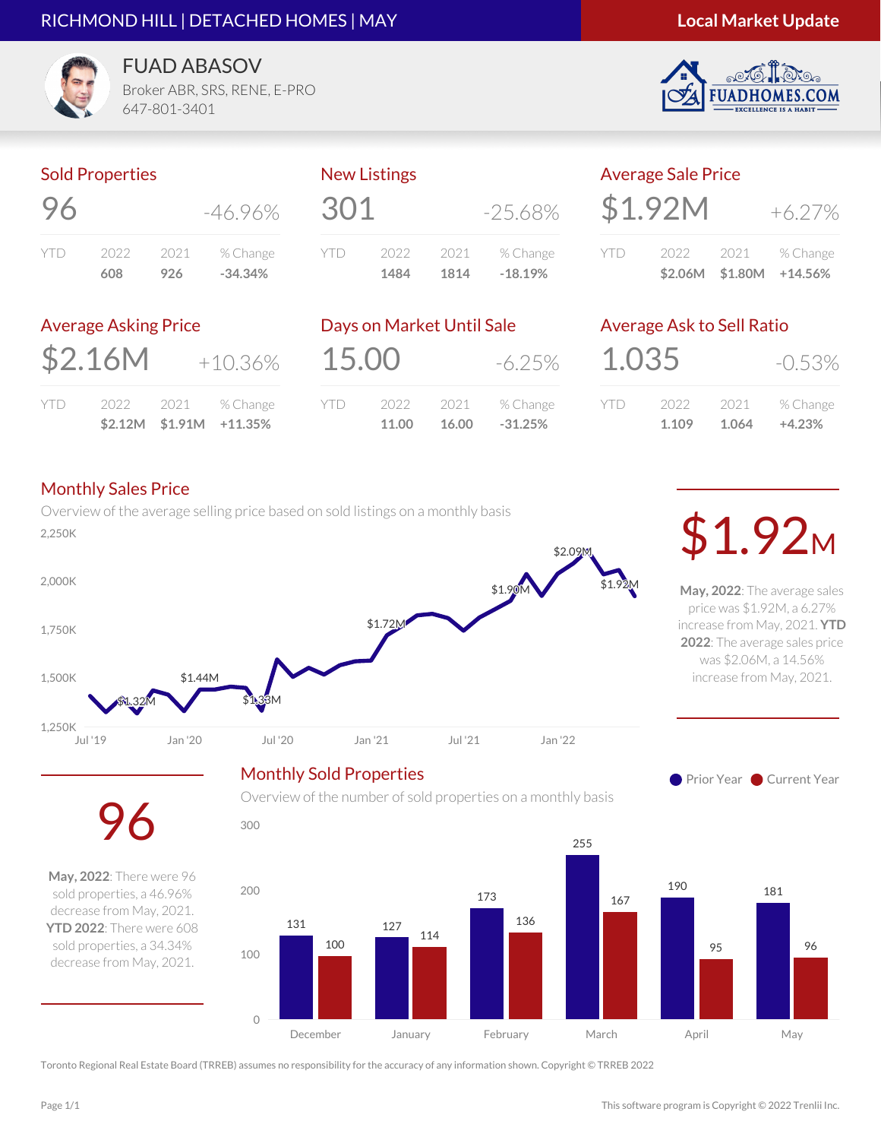#### RICHMOND HILL | DETACHED HOMES | MAY

#### **Local Market Update**

S.COM



**FUAD ABASOV** Broker ABR, SRS, RENE, E-PRO

647-801-3401

#### Sold Properties

| 96  |      |      | -46.96%   |
|-----|------|------|-----------|
| YID | 2022 | 2021 | % Change  |
|     | 608  | 926  | $-34.34%$ |

# 301 -25.68% YTD 2022 2021 % Change **1484 1814 -18.19%**

New Listings

|       | <b>Average Sale Price</b> |      |                         |
|-------|---------------------------|------|-------------------------|
|       | \$1.92M                   |      | $+6.27\%$               |
| Y I D | 2022                      | 2021 | % Change                |
|       |                           |      | \$2.06M \$1.80M +14.56% |

#### Average Asking Price

|     |      |      | $$2.12M$ $$1.91M$ $+11.35\%$ |
|-----|------|------|------------------------------|
| YTD | 2022 | 2021 | % Change                     |

|       | Days on Market Until Sale |               |                       |
|-------|---------------------------|---------------|-----------------------|
| 15.00 |                           |               | $-6.25\%$             |
| YTD   | 2022<br>11.00             | 2021<br>16.00 | % Change<br>$-31.25%$ |

Overview of the number of sold properties on a monthly basis

## Average Ask to Sell Ratio

| 1.035 |       |       | $-0.53\%$ |
|-------|-------|-------|-----------|
| Y I D | 2022  | 2021  | % Change  |
|       | 1.109 | 1.064 | $+4.23%$  |

#### Monthly Sales Price

96

**May, 2022**: There were 96 sold properties, a 46.96% decrease from May, 2021. **YTD 2022**: There were 608 sold properties, a 34.34% decrease from May, 2021.

Overview of the average selling price based on sold listings on a monthly basis  $\mathcal{L}_{2,250K}$ 



**May, 2022**: The average sales price was \$1.92M, a 6.27% increase from May, 2021. **YTD 2022**: The average sales price was \$2.06M, a 14.56% increase from May, 2021.

**Prior Year Current Year** 

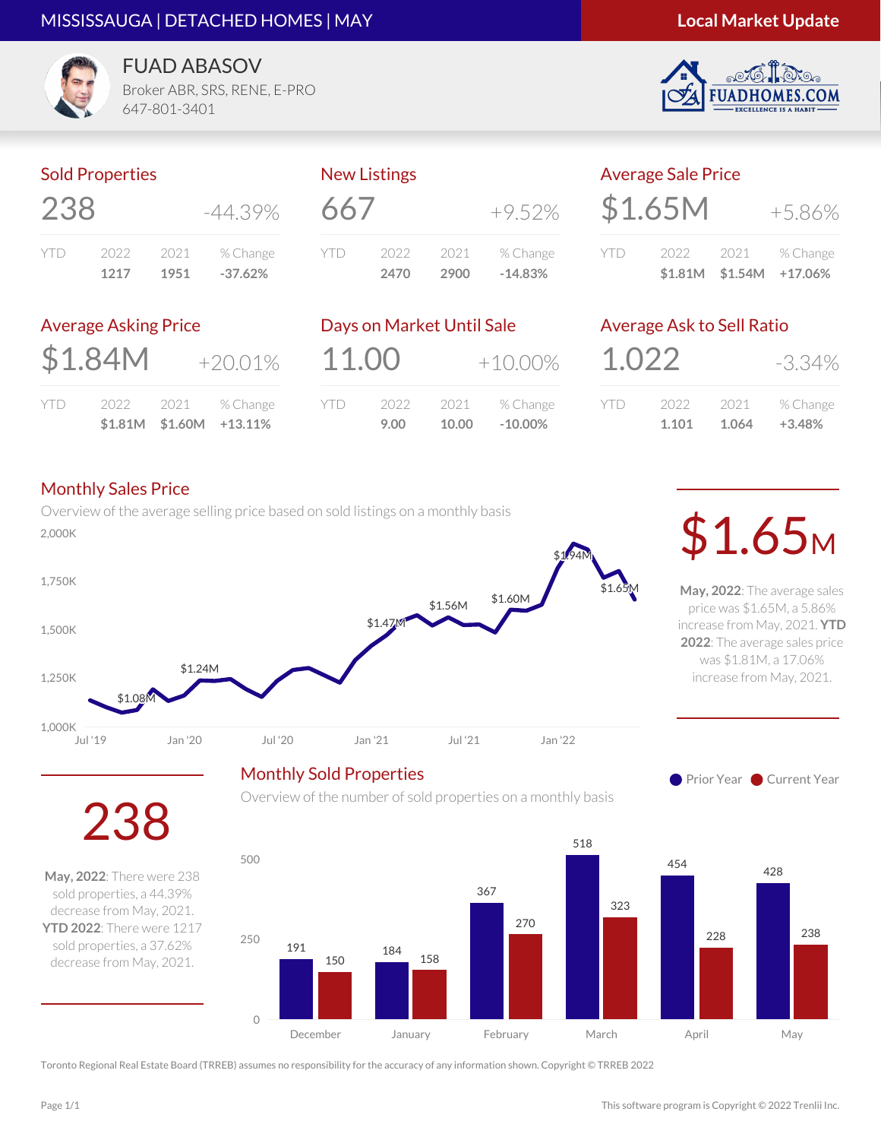#### MISSISSAUGA | DETACHED HOMES | MAY

#### **Local Market Update**

S.COM



**FUAD ABASOV** Broker ABR, SRS, RENE, E-PRO

647-801-3401

#### Sold Properties

| 238  |      |      | $-44.39\%$ |
|------|------|------|------------|
| YII) | 2022 | 2021 | % Change   |
|      | 1217 | 1951 | $-37.62%$  |

| 66/     |      |      | $+9.52\%$ |
|---------|------|------|-----------|
| Y I I ) | 2022 | 2021 | % Change  |
|         | 2470 | 2900 | $-14.83%$ |

New Listings

|     | <b>Average Sale Price</b> |      |           |  |
|-----|---------------------------|------|-----------|--|
|     | \$1.65M                   |      | $+5.86\%$ |  |
| YID | 2022                      | 2021 | % Change  |  |

#### Average Asking Price

| \$1.84M |  | $+20.01%$          |
|---------|--|--------------------|
| YTD.    |  | 2022 2021 % Change |

**\$1.81M \$1.60M +13.11%**

|      | Days on Market Until Sale |       |            |
|------|---------------------------|-------|------------|
|      | 11.00                     |       | $+10.00\%$ |
| YII) | 2022                      | 2021  | % Change   |
|      | 9.00                      | 10.00 | $-10.00\%$ |

# Average Ask to Sell Ratio

| 1.022 |       |       | -3.34%   |
|-------|-------|-------|----------|
| YID   | 2022  | 2021  | % Change |
|       | 1.101 | 1.064 | $+3.48%$ |

**\$1.81M \$1.54M +17.06%**

#### Monthly Sales Price

Overview of the average selling price based on sold listings on a monthly basis 2,000K \$1.65<sup>M</sup>



Monthly Sold Properties

**May, 2022**: The average sales price was \$1.65M, a 5.86% increase from May, 2021. **YTD 2022**: The average sales price was \$1.81M, a 17.06% increase from May, 2021.

**Prior Year Current Year** 

238

**May, 2022**: There were 238 sold properties, a 44.39% decrease from May, 2021. **YTD 2022**: There were 1217 sold properties, a 37.62% decrease from May, 2021.

Overview of the number of sold properties on a monthly basis

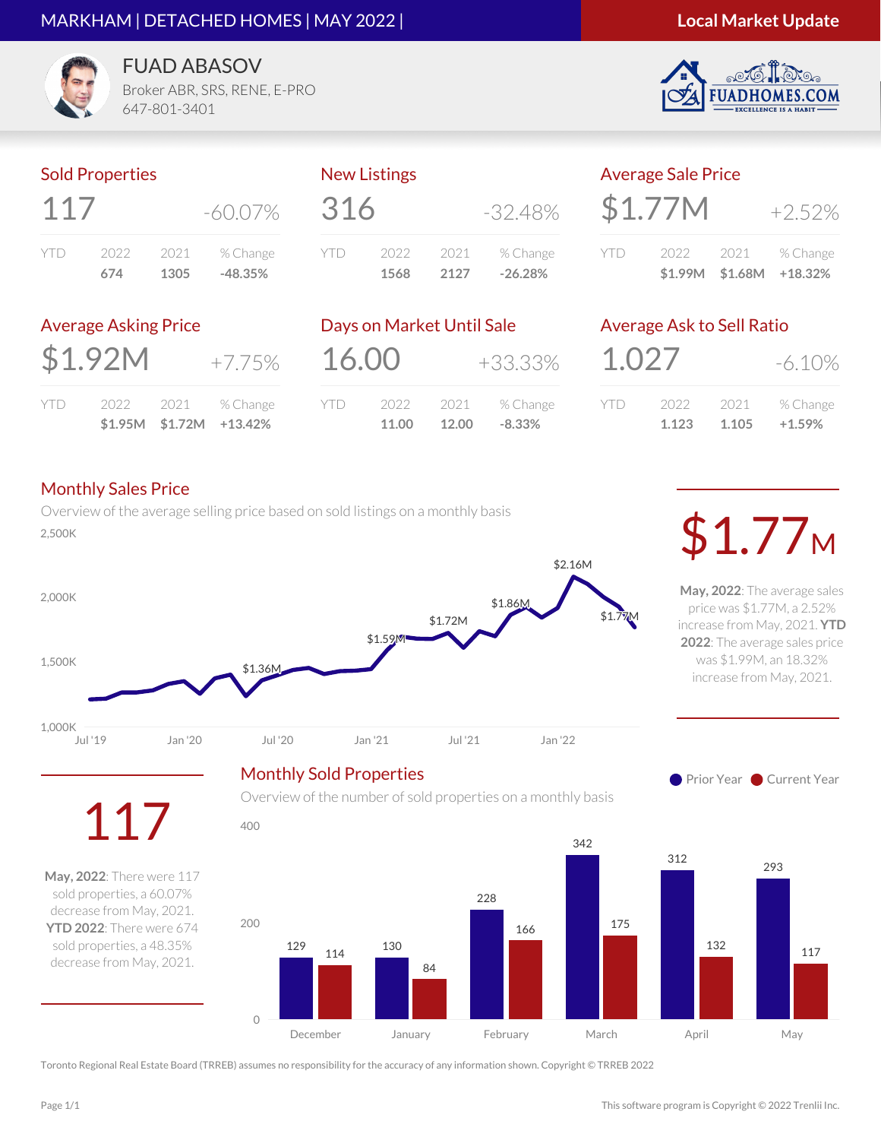#### MARKHAM | DETACHED HOMES | MAY 2022 |

#### **Local Market Update**

S.COM



FUAD ABASOV Broker ABR, SRS, RENE, E-PRO

647-801-3401

#### Sold Properties

| 11/ |      |      | $-60.07\%$ |  |
|-----|------|------|------------|--|
| YID | 2022 | 2021 | % Change   |  |
|     | 674  | 1305 | $-48.35%$  |  |

New Listings

| 316 |      |      | $-32.48\%$ |
|-----|------|------|------------|
| YTD | 2022 | 2021 | % Change   |
|     | 1568 | 2127 | $-26.28%$  |

| <b>Average Sale Price</b> |         |      |           |  |  |
|---------------------------|---------|------|-----------|--|--|
|                           | \$1.77M |      | $+7.57\%$ |  |  |
| YII)                      | 2022 -  | 2021 | % Change  |  |  |

**\$1.99M \$1.68M +18.32%**

#### Average Asking Price

| \$1.92M | $+7.75\%$ |
|---------|-----------|
|         |           |

| 2022 2021 % Change | $$1.95M$ $$1.72M$ $+13.42\%$ |  |
|--------------------|------------------------------|--|
|                    |                              |  |

|            | Days on Market Until Sale |               |                      |
|------------|---------------------------|---------------|----------------------|
| 16.00      |                           |               | +33.33%              |
| <b>YTD</b> | 2022<br>11.00             | 2021<br>12.00 | % Change<br>$-8.33%$ |
|            |                           |               |                      |

Overview of the number of sold properties on a monthly basis

### Average Ask to Sell Ratio

| 1.027   |       |       | $-6.10\%$ |
|---------|-------|-------|-----------|
| Y I I ) | 2022  | 2021  | % Change  |
|         | 1.123 | 1.105 | $+1.59%$  |

#### Monthly Sales Price

YTD

Overview of the average selling price based on sold listings on a monthly basis  $\mathcal{L}_{2,500K}$ 



**May, 2022**: The average sales price was \$1.77M, a 2.52% increase from May, 2021. **YTD 2022**: The average sales price was \$1.99M, an 18.32% increase from May, 2021.





200 **May, 2022**: There were 117 sold properties, a 60.07% decrease from May, 2021. **YTD 2022**: There were 674 sold properties, a 48.35%

117

decrease from May, 2021.

Toronto Regional Real Estate Board (TRREB) assumes no responsibility for the accuracy of any information shown. Copyright © TRREB 2022

0

400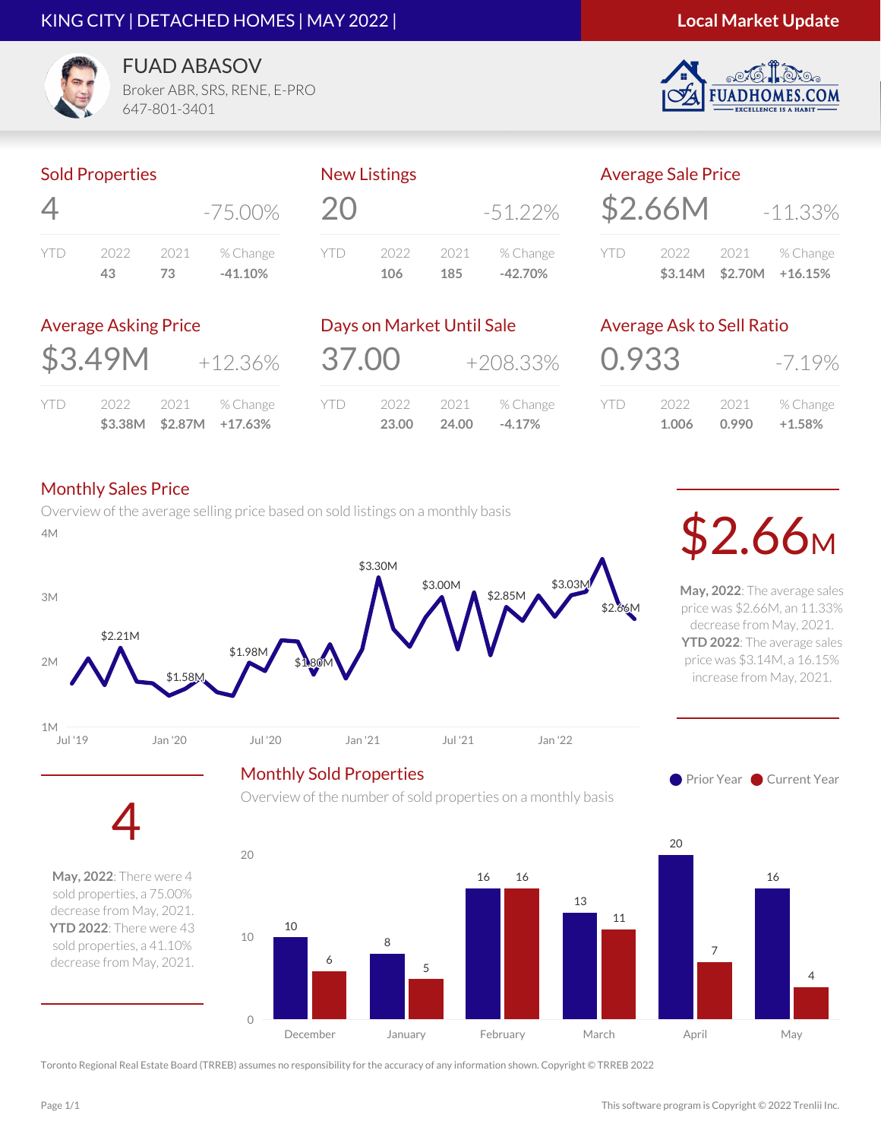#### KING CITY | DETACHED HOMES | MAY 2022 |

#### **Local Market Update**

.COM



FUAD ABASOV Broker ABR, SRS, RENE, E-PRO

647-801-3401

#### Sold Properties

| 4    |      |      | $-75.00\%$ |
|------|------|------|------------|
| YII) | 2022 | 2021 | % Change   |
|      | 43   | 73.  | $-41.10%$  |

# New Listings 20 -51.22% YTD 2022 2021 % Change **106 185 -42.70%**

|     | <b>Average Sale Price</b> |                 |               |
|-----|---------------------------|-----------------|---------------|
|     | \$2.66M                   |                 | $-11.33%$     |
| YTD | 2022                      |                 | 2021 % Change |
|     |                           | \$3.14M \$2.70M | $+16.15%$     |

#### Average Asking Price

| \$3.49M | $+12.36\%$ |
|---------|------------|
|         |            |

|      |      |        | $$3.38M$ $$2.87M$ $+17.63\%$ |
|------|------|--------|------------------------------|
| YTD. | 2022 | - 2021 | % Change                     |

|       | Days on Market Until Sale |               |                      |
|-------|---------------------------|---------------|----------------------|
| 37.00 |                           | $+208.33%$    |                      |
| YID)  | 2022<br>23.00             | 2021<br>24.00 | % Change<br>$-4.17%$ |

# Average Ask to Sell Ratio

| 0.933 |       |        | $-7.19\%$ |
|-------|-------|--------|-----------|
| YID   | 2022  | 2021 - | % Change  |
|       | 1.006 | 0.990  | $+1.58%$  |

**May, 2022**: The average sales price was \$2.66M, an 11.33% decrease from May, 2021. **YTD 2022**: The average sales price was \$3.14M, a 16.15% increase from May, 2021.

**Prior Year Current Year** 

#### Monthly Sales Price

Overview of the average selling price based on sold listings on a monthly basis 4M \$2.66<sup>M</sup>



#### Monthly Sold Properties

Overview of the number of sold properties on a monthly basis



**May, 2022**: There were 4 sold properties, a 75.00% decrease from May, 2021. **YTD 2022**: There were 43 sold properties, a 41.10% decrease from May, 2021.

4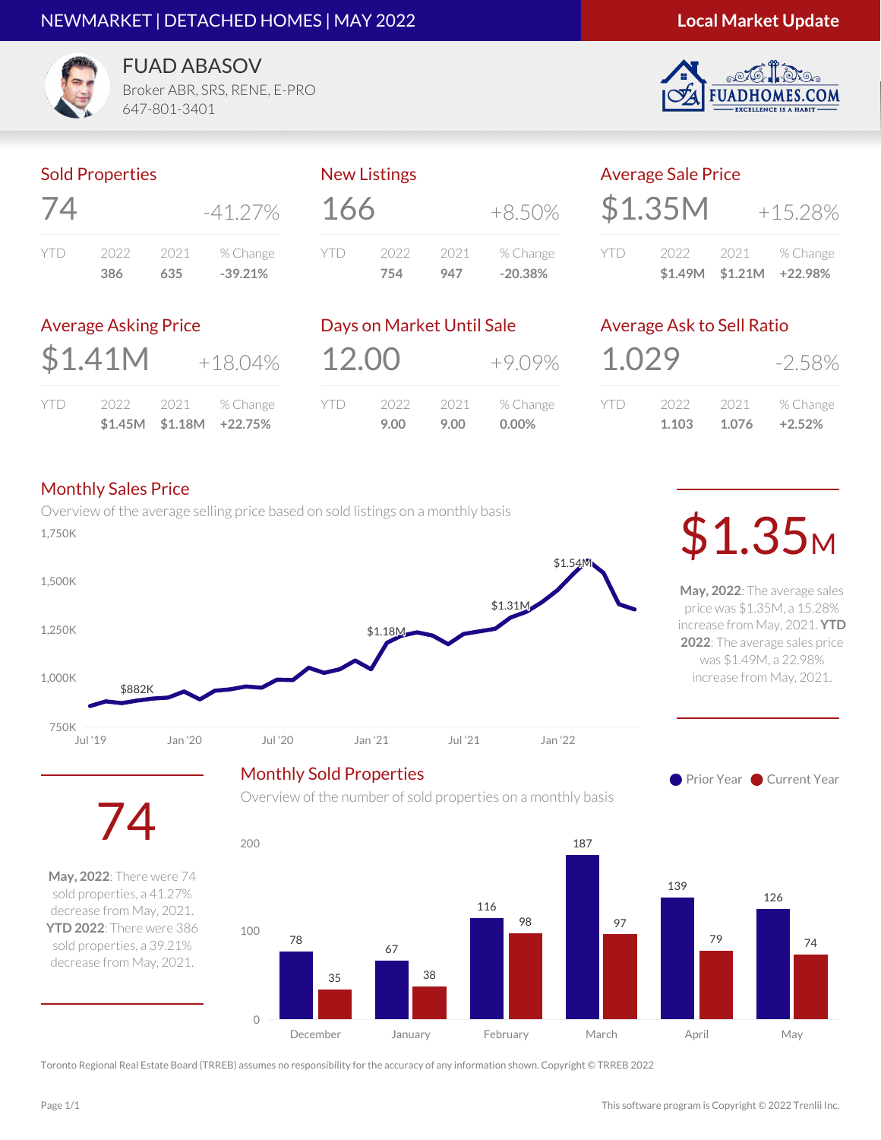#### NEWMARKET | DETACHED HOMES | MAY 2022

#### **Local Market Update**

**ES.COM** 



FUAD ABASOV

Broker ABR, SRS, RENE, E-PRO 647-801-3401

#### Sold Properties

| /4   |      |      | $-41.27\%$ |
|------|------|------|------------|
| YII) | 2022 | 2021 | % Change   |
|      | 386  | 635  | $-39.21%$  |

## New Listings  $166 +8.50%$ YTD 2022 2021 % Change **754 947 -20.38%**

|     | <b>Average Sale Price</b> |  |                                                    |  |  |
|-----|---------------------------|--|----------------------------------------------------|--|--|
|     | \$1.35M                   |  | $+15.28%$                                          |  |  |
| YTD |                           |  | 2022 2021 % Change<br>$$1,49M$ $$1,21M$ $+22,98\%$ |  |  |

#### Average Asking Price

| \$1.41M    |  | $+18.04%$ |                    |
|------------|--|-----------|--------------------|
| <b>YTD</b> |  |           | 2022 2021 % Change |

**\$1.45M \$1.18M +22.75%**

| Days on Market Until Sale |              |              |                      |
|---------------------------|--------------|--------------|----------------------|
| 12.00                     |              |              | $+9.09%$             |
| YTD                       | 2022<br>9.00 | 2021<br>9.00 | % Change<br>$0.00\%$ |

Overview of the number of sold properties on a monthly basis

#### Average Ask to Sell Ratio

| 1.029 |       |       | $-2.58\%$ |
|-------|-------|-------|-----------|
| Y I D | 2022  | 2021  | % Change  |
|       | 1.103 | 1.076 | $+2.52%$  |

#### Monthly Sales Price

74

**May, 2022**: There were 74 sold properties, a 41.27% decrease from May, 2021. **YTD 2022**: There were 386 sold properties, a 39.21% decrease from May, 2021.

Overview of the average selling price based on sold listings on a monthly basis  $\sim$  0.350K 1,750K



**May, 2022**: The average sales price was \$1.35M, a 15.28% increase from May, 2021. **YTD 2022**: The average sales price was \$1.49M, a 22.98% increase from May, 2021.

**Prior Year Current Year** 

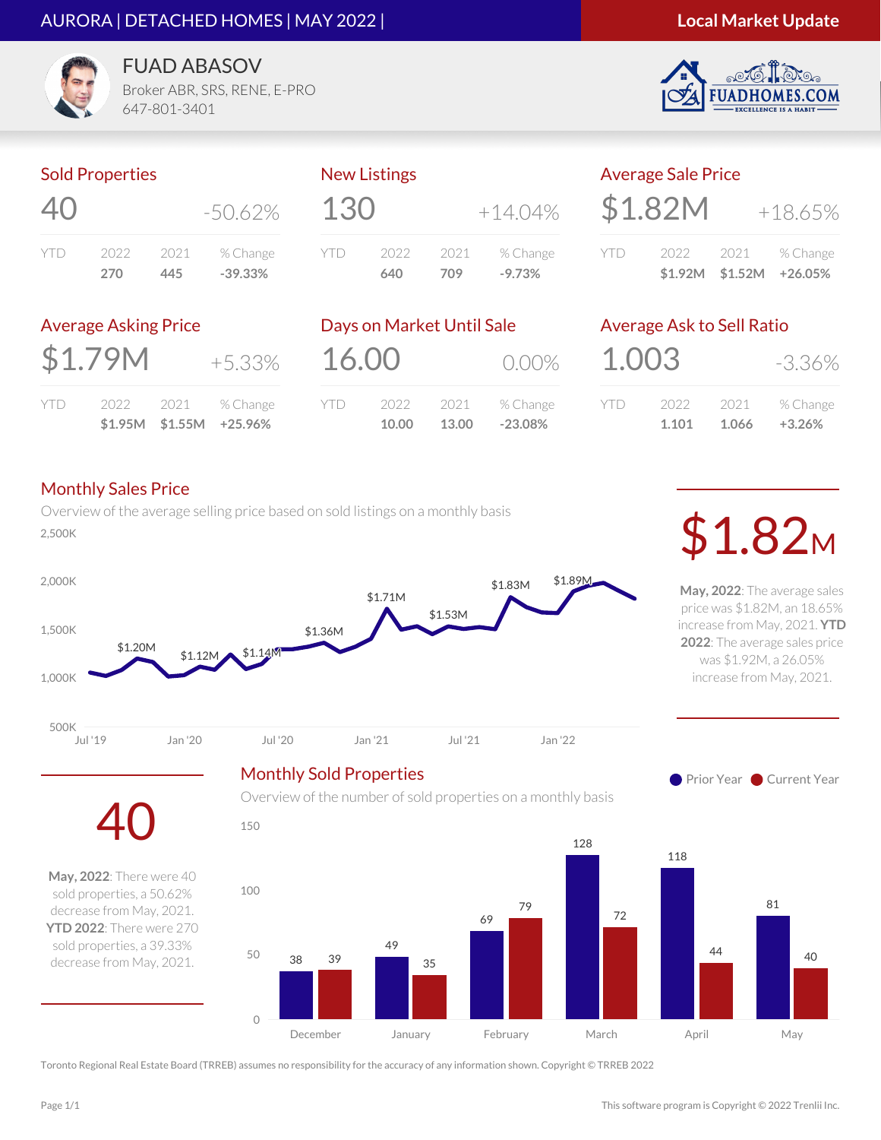#### AURORA | DETACHED HOMES | MAY 2022 |

#### **Local Market Update**

S.COM



FUAD ABASOV

Broker ABR, SRS, RENE, E-PRO 647-801-3401

#### Sold Properties

| 40   |      |      | $-50.62\%$ |
|------|------|------|------------|
| YII) | 2022 | 2021 | % Change   |
|      | 270  | 445  | $-39.33%$  |

## New Listings  $130 + 14.04\%$ YTD 2022 2021 % Change **640 709 -9.73%**

|      | <b>Average Sale Price</b> |                 |           |
|------|---------------------------|-----------------|-----------|
|      | \$1.82M                   |                 | $+18.65%$ |
| YTI) | 2022                      | 2021            | % Change  |
|      |                           | \$1.92M \$1.52M | +26.05%   |

#### Average Asking Price

| \$1.79M |  |  | +5.33%             |
|---------|--|--|--------------------|
| YID     |  |  | 2022 2021 % Change |

**\$1.95M \$1.55M +25.96%**

| Days on Market Until Sale |                |                       |  |  |
|---------------------------|----------------|-----------------------|--|--|
|                           |                | $0.00\%$              |  |  |
| 2022                      | 2021           | % Change<br>$-23.08%$ |  |  |
|                           | 16.00<br>10.00 | 13.00                 |  |  |

Overview of the number of sold properties on a monthly basis

# Average Ask to Sell Ratio

| 1.003 |       |       | -3.36%   |
|-------|-------|-------|----------|
| YID   | 2022  | 2021  | % Change |
|       | 1.101 | 1.066 | $+3.26%$ |

#### Monthly Sales Price

40

**May, 2022**: There were 40 sold properties, a 50.62% decrease from May, 2021. **YTD 2022**: There were 270 sold properties, a 39.33% decrease from May, 2021.

Overview of the average selling price based on sold listings on a monthly basis DVerview of the average selling price based on sold listings on a monthly basis **1.82M** 



**May, 2022**: The average sales price was \$1.82M, an 18.65% increase from May, 2021. **YTD 2022**: The average sales price was \$1.92M, a 26.05% increase from May, 2021.

**Prior Year Current Year** 

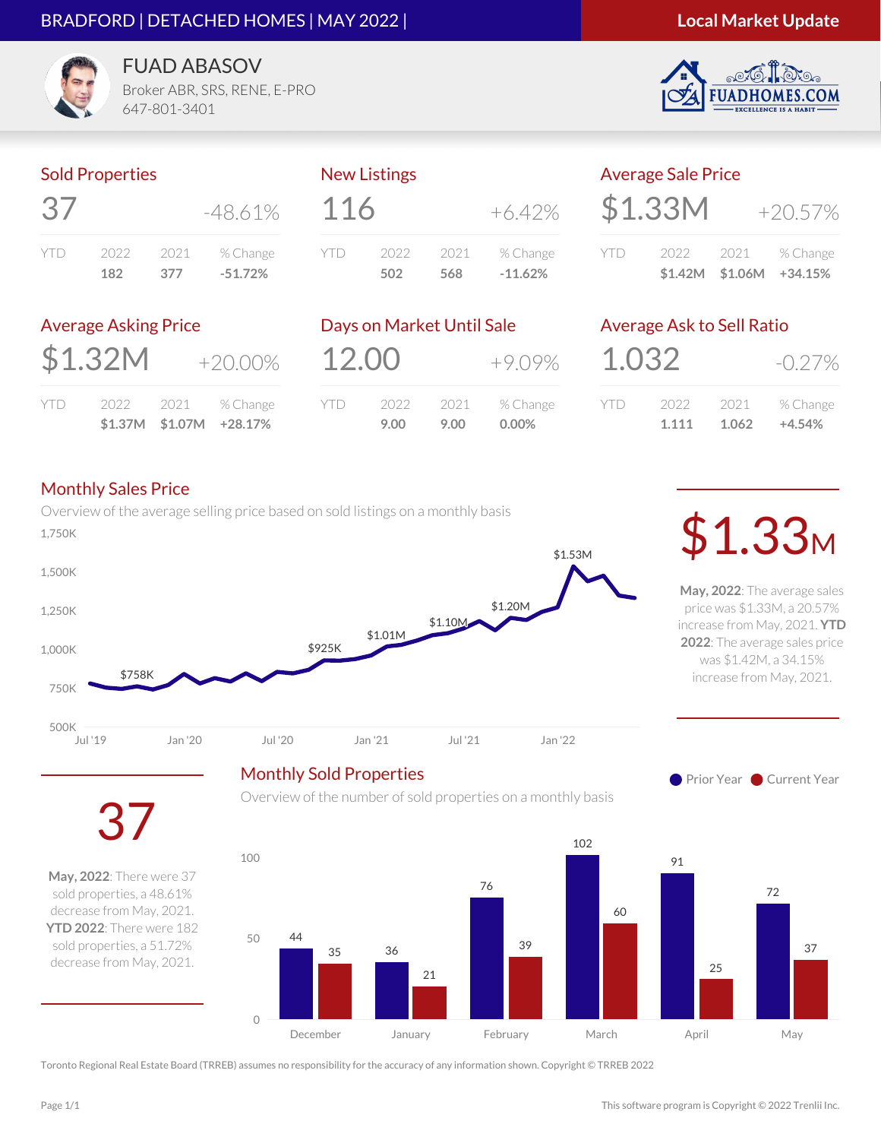#### BRADFORD | DETACHED HOMES | MAY 2022 |

#### **Local Market Update**

**ES.COM** 



FUAD ABASOV Broker ABR, SRS, RENE, E-PRO

647-801-3401

#### Sold Properties

| $\overrightarrow{3}$ |      |      | $-48.61\%$ |
|----------------------|------|------|------------|
| YII)                 | 2022 | 2021 | % Change   |
|                      | 182  | 377  | $-51.72%$  |

#### New Listings

| 116 |      |      | $+6.42\%$ |
|-----|------|------|-----------|
| YTD | 2022 | 2021 | % Change  |
|     | 502  | 568  | $-11.62%$ |

|     | <b>Average Sale Price</b> |      |           |
|-----|---------------------------|------|-----------|
|     | \$1.33M                   |      | $+20.57%$ |
| YID | 2022                      | 2021 | % Change  |

#### Average Asking Price

| \$1.32M |  | $+20.00\%$             |
|---------|--|------------------------|
|         |  | YTD 2022 2021 % Change |

**\$1.37M \$1.07M +28.17%**

|       | Days on Market Until Sale |      |           |
|-------|---------------------------|------|-----------|
| 12.00 |                           |      | $+9.09\%$ |
| YTD   | 2022                      | 2021 | % Change  |
|       | 9.00                      | 9.00 | $0.00\%$  |

#### Average Ask to Sell Ratio

| 1.032 |       |       | $-0.27\%$ |  |
|-------|-------|-------|-----------|--|
| Y I D | 2022  | 2021  | % Change  |  |
|       | 1.111 | 1.062 | $+4.54%$  |  |

**\$1.42M \$1.06M +34.15%**

#### Monthly Sales Price

Overview of the average selling price based on sold listings on a monthly basis \$925K \$1.01M \$1.10M \$1.20M \$1.53M 1,250K 1,500K Dverview or the average seming price pased on sold listings on a monthly pasis  $\sim$  \$1.53M

Monthly Sold Properties

**May, 2022**: The average sales price was \$1.33M, a 20.57% increase from May, 2021. **YTD 2022**: The average sales price was \$1.42M, a 34.15% increase from May, 2021.



**Prior Year Current Year** 

37

\$758K

**May, 2022**: There were 37 sold properties, a 48.61% decrease from May, 2021. **YTD 2022**: There were 182 sold properties, a 51.72% decrease from May, 2021.

Overview of the number of sold properties on a monthly basis



Toronto Regional Real Estate Board (TRREB) assumes no responsibility for the accuracy of any information shown. Copyright © TRREB 2022

500K

750K

1,000K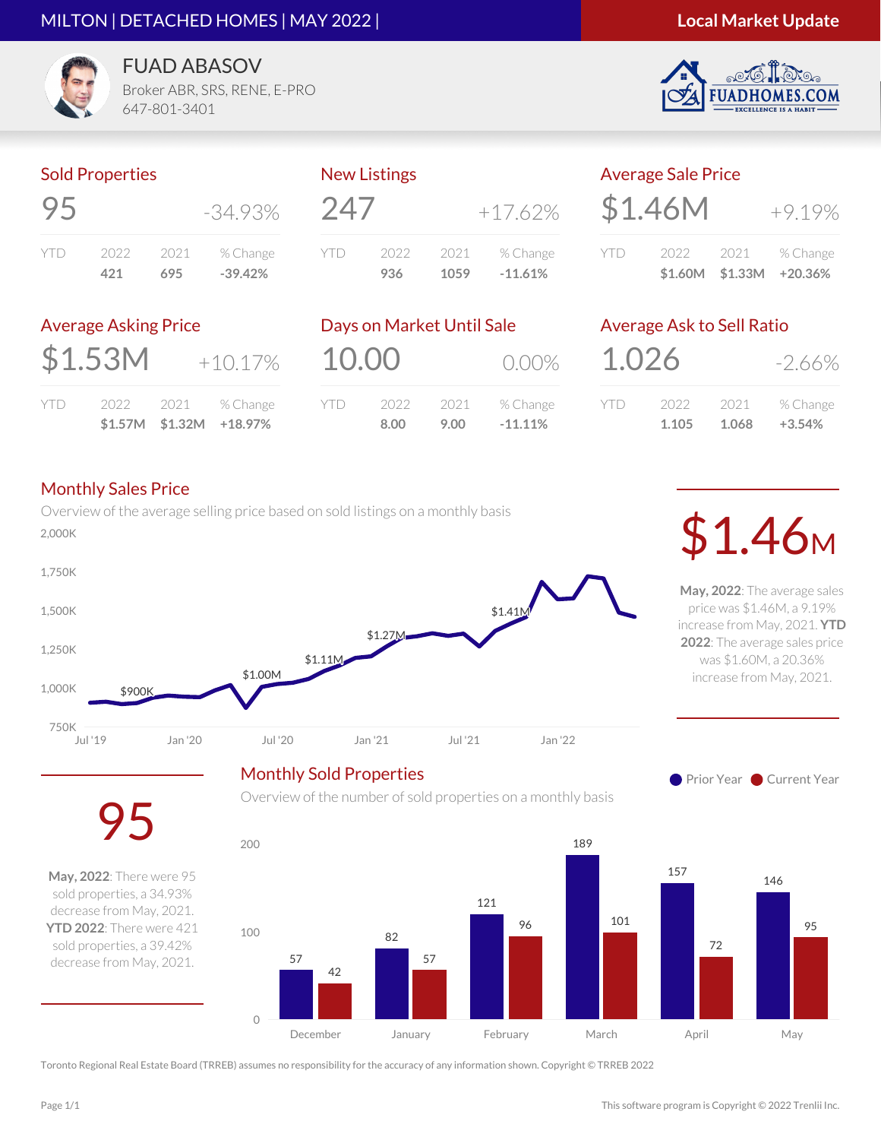#### MILTON | DETACHED HOMES | MAY 2022 |



S.COM



FUAD ABASOV

Broker ABR, SRS, RENE, E-PRO 647-801-3401

### Sold Properties

|      |      |      | $-34.93\%$ |
|------|------|------|------------|
| YII) | 2022 | 2021 | % Change   |
|      | 421. | 695  | $-39.42%$  |

| 247 |      |      | $+17.62%$ |
|-----|------|------|-----------|
| YTD | 2022 | 2021 | % Change  |
|     | 936  | 1059 | $-11.61%$ |
|     |      |      |           |

New Listings

| <b>Average Sale Price</b> |  |  |                    |  |  |
|---------------------------|--|--|--------------------|--|--|
| \$1.46M                   |  |  | $+9.19%$           |  |  |
| YID                       |  |  | 2022 2021 % Change |  |  |

**\$1.60M \$1.33M +20.36%**

### Average Asking Price

| \$1.53M |  | $+10.17%$          |
|---------|--|--------------------|
| YTD.    |  | 2022 2021 % Change |

**\$1.57M \$1.32M +18.97%**

|      |               | 0.00%                             |
|------|---------------|-----------------------------------|
| 2022 | 2021          | % Change<br>$-11.11%$             |
|      | 10.00<br>8.00 | Days on Market Until Sale<br>9.00 |

Overview of the number of sold properties on a monthly basis

# Average Ask to Sell Ratio

| 1.026 |       |       | $-2.66\%$ |
|-------|-------|-------|-----------|
| Y I D | 2022  | 2021  | % Change  |
|       | 1.105 | 1.068 | $+3.54%$  |

#### Monthly Sales Price

95

**May, 2022**: There were 95 sold properties, a 34.93% decrease from May, 2021. **YTD 2022**: There were 421 sold properties, a 39.42% decrease from May, 2021.

Overview of the average selling price based on sold listings on a monthly basis DVerview of the average sening price based on sold ilstings on a monthly basis **1.46M** 



Monthly Sold Properties

**Prior Year Current Year** 

**May, 2022**: The average sales price was \$1.46M, a 9.19% increase from May, 2021. **YTD 2022**: The average sales price was \$1.60M, a 20.36% increase from May, 2021.

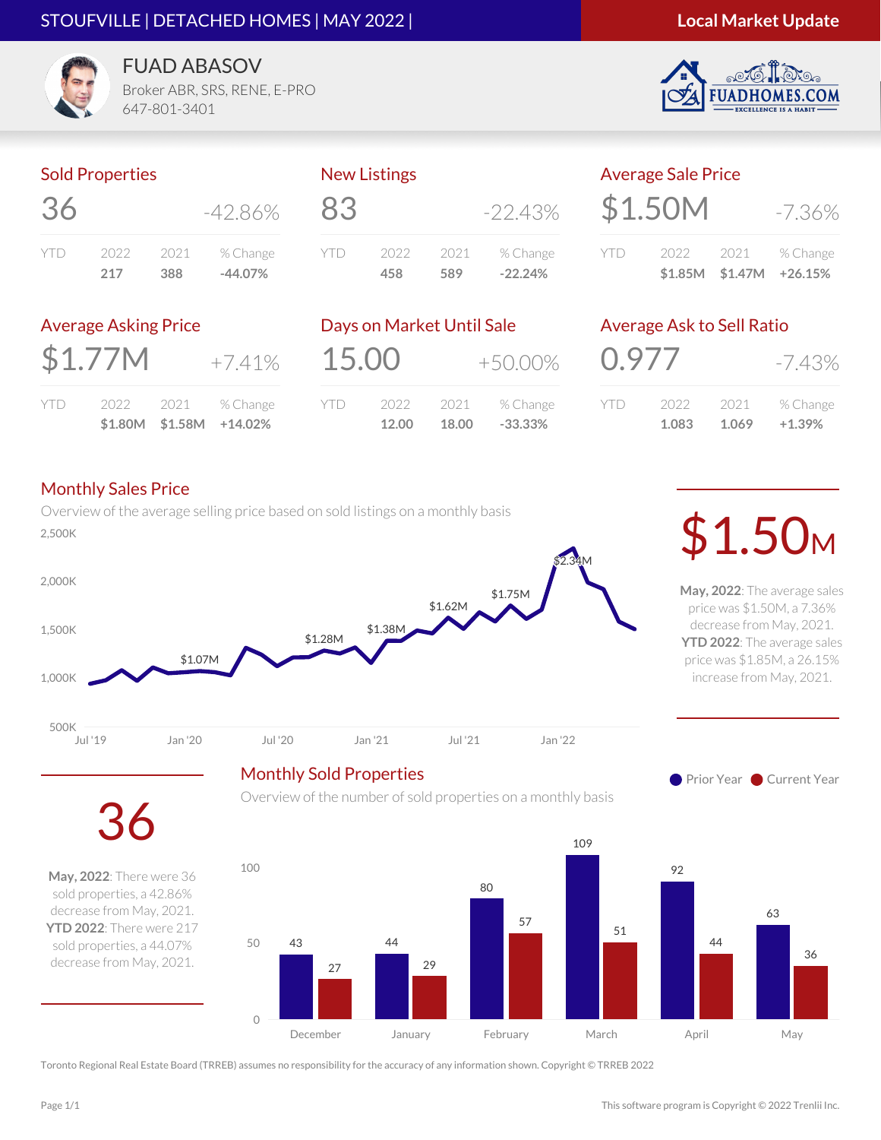#### STOUFVILLE | DETACHED HOMES | MAY 2022 |

.COM



FUAD ABASOV

Broker ABR, SRS, RENE, E-PRO 647-801-3401

#### Sold Properties

| 36   |      |      | $-42.86\%$ |
|------|------|------|------------|
| YII) | 2022 | 2021 | % Change   |
|      | 217  | 388  | $-44.07%$  |

# 83 -22.43% YTD 2022 2021 % Change

New Listings

|     | <b>Average Sale Price</b> |                         |
|-----|---------------------------|-------------------------|
|     | \$1.50M                   | $-7.36\%$               |
| YTD | 2022                      | 2021 % Change           |
|     |                           | \$1.85M \$1.47M +26.15% |

#### Average Asking Price

| \$1.77M<br>$+7.41%$ |
|---------------------|
|---------------------|

|     |      |       | $$1.80M$ $$1.58M$ $+14.02\%$ |
|-----|------|-------|------------------------------|
| YTD | 2022 | -2021 | % Change                     |

| Days on Market Until Sale |       |       |            |
|---------------------------|-------|-------|------------|
| 15.00                     |       |       | $+50.00\%$ |
| YTD                       | 2022  | 2021  | % Change   |
|                           | 12.00 | 18.00 | $-33.33%$  |

Overview of the number of sold properties on a monthly basis

**458 589 -22.24%**

#### Average Ask to Sell Ratio

| 0.977   |       |       | $-7.43%$ |
|---------|-------|-------|----------|
| Y I I ) | 2022  | 2021  | % Change |
|         | 1.083 | 1.069 | $+1.39%$ |

#### Monthly Sales Price

36

**May, 2022**: There were 36 sold properties, a 42.86% decrease from May, 2021. **YTD 2022**: There were 217 sold properties, a 44.07% decrease from May, 2021.

Overview of the average selling price based on sold listings on a monthly basis 2,500K \$1.50<sup>M</sup>



**May, 2022**: The average sales price was \$1.50M, a 7.36% decrease from May, 2021. **YTD 2022**: The average sales price was \$1.85M, a 26.15% increase from May, 2021.

**Prior Year Current Year** 

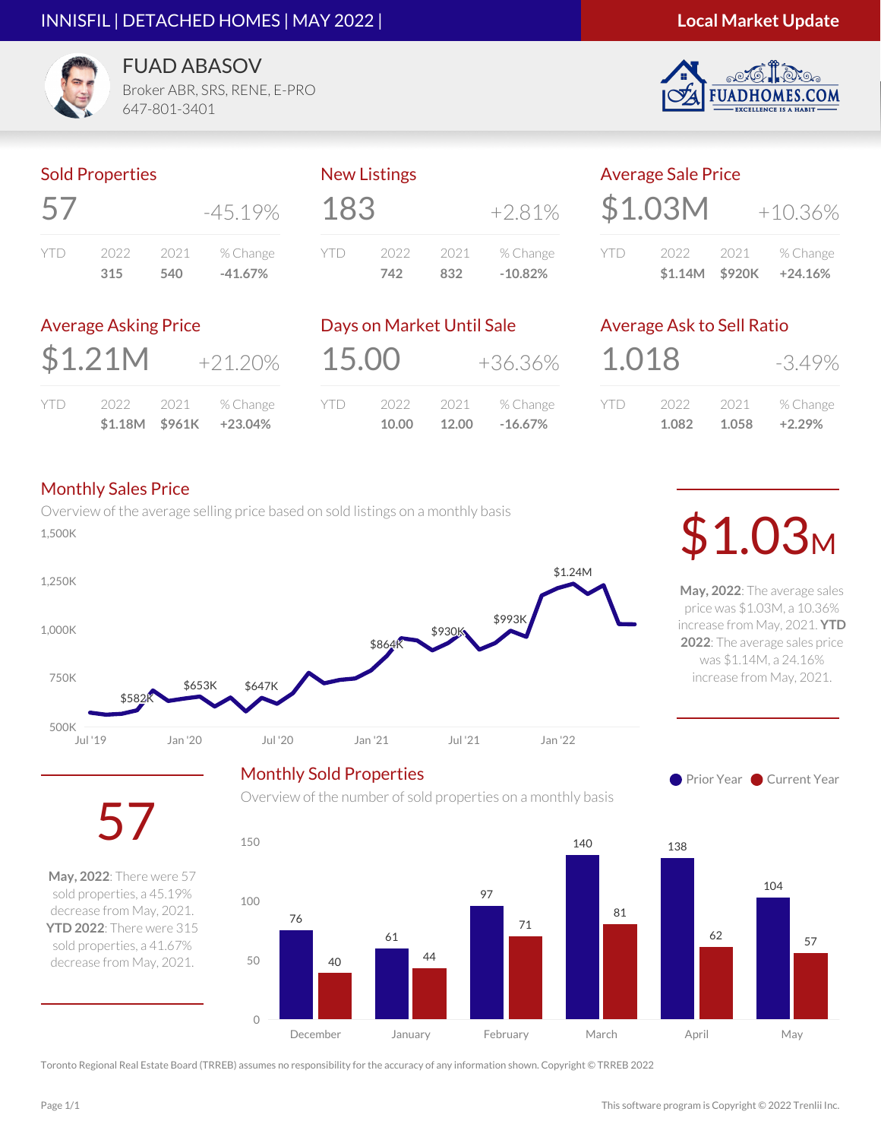#### INNISFIL | DETACHED HOMES | MAY 2022 |

#### **Local Market Update**

**ES.COM** 

**FUADHO** 



FUAD ABASOV Broker ABR, SRS, RENE, E-PRO

647-801-3401

#### Sold Properties

| 5 <sup>′</sup> |      |      | $-45.19\%$ |
|----------------|------|------|------------|
| YII)           | 2022 | 2021 | % Change   |
|                | 315  | 540  | $-41.67%$  |

#### New Listings

| 183 |      |      | $+2.81%$  |
|-----|------|------|-----------|
| YTD | 2022 | 2021 | % Change  |
|     | 742  | 832  | $-10.82%$ |
|     |      |      |           |

| <b>Average Sale Price</b> |      |           |
|---------------------------|------|-----------|
| \$1.03M                   |      | $+10.36%$ |
| 2022 -                    | 2021 | % Change  |

#### Average Asking Price

|--|

|     | \$1.18M \$961K |      | +23.04%  |
|-----|----------------|------|----------|
| YTD | 2022           | 2021 | % Change |

| Days on Market Until Sale |               |               |                       |
|---------------------------|---------------|---------------|-----------------------|
| 15.00                     |               |               | +36.36%               |
| <b>YTD</b>                | 2022<br>10.00 | 2021<br>12.00 | % Change<br>$-16.67%$ |

Overview of the number of sold properties on a monthly basis

# Average Ask to Sell Ratio

**\$1.14M \$920K +24.16%**

| 1.018 |       |       | $-3.49%$ |
|-------|-------|-------|----------|
| YTD   | 2022  | 2021  | % Change |
|       | 1.082 | 1.058 | $+2.29%$ |

#### Monthly Sales Price

57

**May, 2022**: There were 57 sold properties, a 45.19% decrease from May, 2021. **YTD 2022**: There were 315 sold properties, a 41.67% decrease from May, 2021.

Overview of the average selling price based on sold listings on a monthly basis  $\sim$  0.00 M  $\sim$  0.00 M  $\sim$  0.000 M  $\sim$  0.000 M  $\sim$  0.000 M  $\sim$  0.000 M  $\sim$  0.000 M  $\sim$  0.000 M  $\sim$  0.000 M  $\sim$  0.000 M  $\sim$  0.000 M  $\sim$  0.000 M  $\sim$  0.000 M  $\sim$  0.000 M  $\sim$  0.000 M  $\sim$  0.000 M  $\sim$  0.000 M  $\$ 



**May, 2022**: The average sales price was \$1.03M, a 10.36% increase from May, 2021. **YTD 2022**: The average sales price was \$1.14M, a 24.16% increase from May, 2021.





Toronto Regional Real Estate Board (TRREB) assumes no responsibility for the accuracy of any information shown. Copyright © TRREB 2022

0

50

100

150

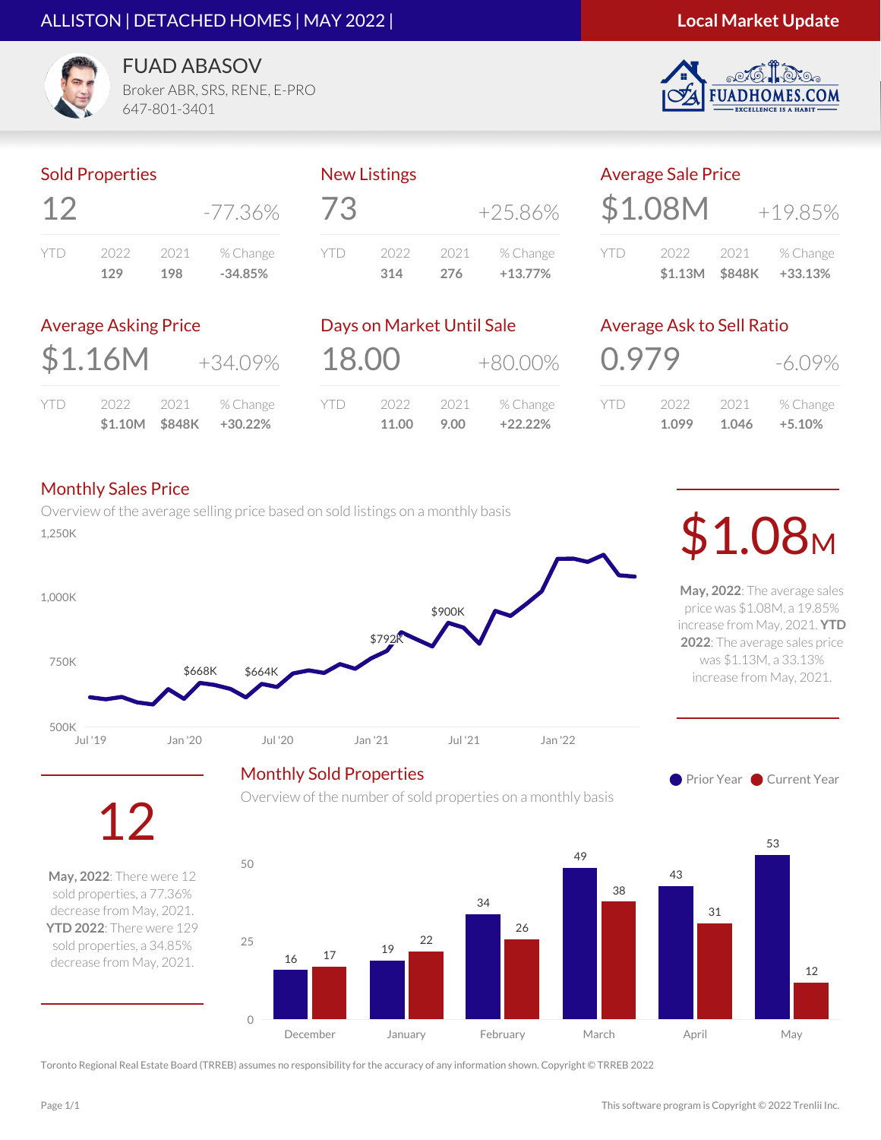#### ALLISTON | DETACHED HOMES | MAY 2022 |

#### **Local Market Update**

S.COM



FUAD ABASOV

Broker ABR, SRS, RENE, E-PRO 647-801-3401

#### Sold Properties

|     |      |      | -77.36%   |
|-----|------|------|-----------|
| YID | 2022 | 2021 | % Change  |
|     | 129  | 198  | $-34.85%$ |

| 73  | <b>ING WEIGHTIAS</b> |      |           |
|-----|----------------------|------|-----------|
|     |                      |      | $+25.86%$ |
| YTD | 2022                 | 2021 | % Change  |
|     | 314                  | 276  | $+13.77%$ |

New Listings

| <b>Average Sale Price</b> |                |      |           |
|---------------------------|----------------|------|-----------|
|                           | \$1.08M        |      | $+19.85%$ |
| YTD                       | 2022           | 2021 | % Change  |
|                           | \$1.13M \$848K |      | +33.13%   |

#### Average Asking Price

| \$1.16M |  | $+34.09%$          |
|---------|--|--------------------|
| YTD     |  | 2022 2021 % Change |

**\$1.10M \$848K +30.22%**

|            | Days on Market Until Sale |            |           |
|------------|---------------------------|------------|-----------|
| 18.00      |                           | $+80.00\%$ |           |
| <b>YTD</b> | 2022                      | 2021       | % Change  |
|            | 11.00                     | 9.00       | $+22.22%$ |

### Average Ask to Sell Ratio

| 0.979 |       |       | -6.09%   |
|-------|-------|-------|----------|
| YII)  | 2022  | 2021  | % Change |
|       | 1.099 | 1.046 | $+5.10%$ |

#### Monthly Sales Price

Overview of the average selling price based on sold listings on a monthly basis DVerview of the average seming price based on sold ilsungs on a monthly basis (and the subset of the set of the sold insulings on a monthly basis)



**May, 2022**: The average sales price was \$1.08M, a 19.85% increase from May, 2021. **YTD 2022**: The average sales price was \$1.13M, a 33.13% increase from May, 2021.

**Prior Year Current Year** 

12

**May, 2022**: There were 12 sold properties, a 77.36% decrease from May, 2021. **YTD 2022**: There were 129 sold properties, a 34.85% decrease from May, 2021.



Overview of the number of sold properties on a monthly basis

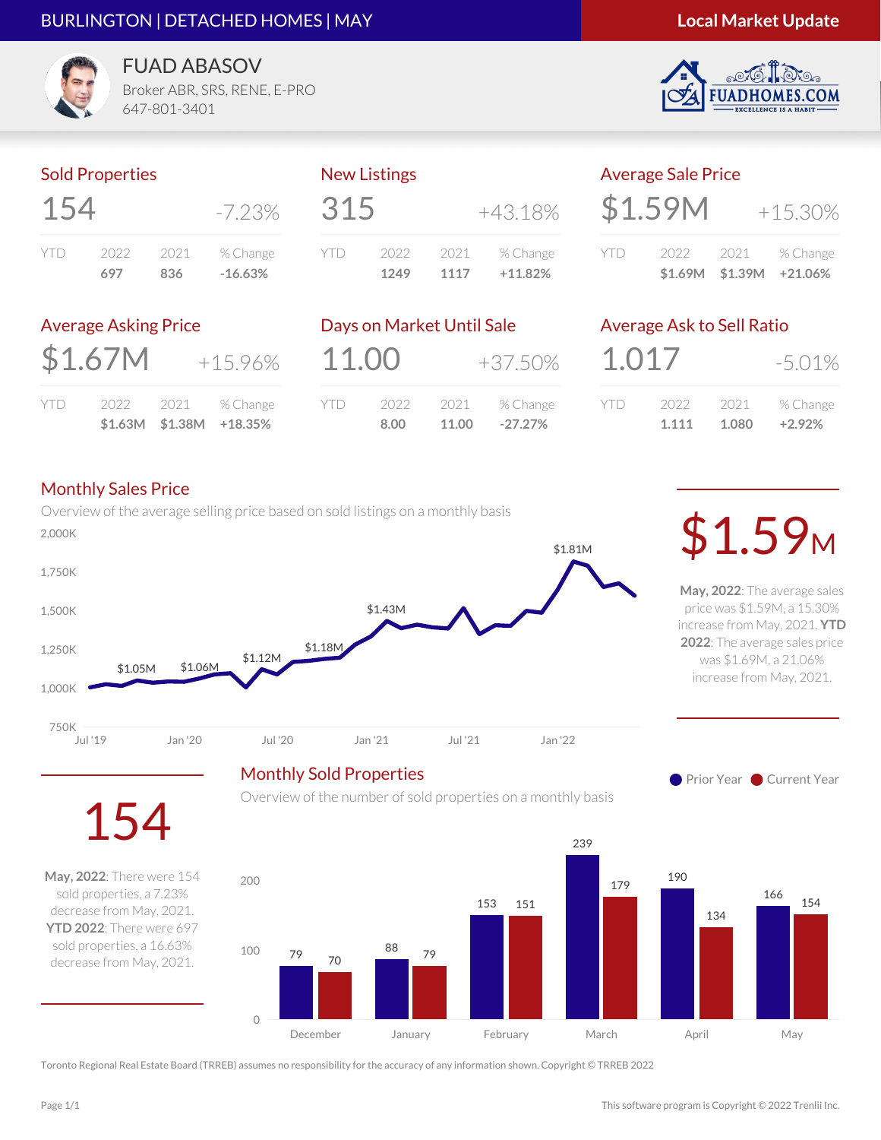#### BURLINGTON | DETACHED HOMES | MAY

#### **Local Market Update**

S.COM



**FUAD ABASOV** Broker ABR, SRS, RENE, E-PRO 647-801-3401

#### Sold Properties

| 154     |      |      | -7.23%    |
|---------|------|------|-----------|
| Y     ) | 2022 | 2021 | % Change  |
|         | 697  | 836  | $-16.63%$ |

#### New Listings

| 315 |      |      | $+43.18%$ |
|-----|------|------|-----------|
| YTD | 2022 | 2021 | % Change  |
|     | 1249 | 1117 | $+11.82%$ |

| <b>Average Sale Price</b> |         |                 |                          |
|---------------------------|---------|-----------------|--------------------------|
|                           | \$1.59M |                 | $+15.30%$                |
| YTD                       | 2022    | \$1.69M \$1.39M | 2021 % Change<br>+21.06% |

#### Average Asking Price

|     |      |        | $$1.63M$ $$1.38M$ $+18.35\%$ |
|-----|------|--------|------------------------------|
| YTD | 2022 | - 2021 | % Change                     |

|       | Days on Market Until Sale |       |            |
|-------|---------------------------|-------|------------|
| 11.00 |                           |       | $+37.50\%$ |
| YTD   | 2022                      | 2021  | % Change   |
|       | 8.00                      | 11.00 | $-27.27%$  |

Overview of the number of sold properties on a monthly basis

### Average Ask to Sell Ratio

| 1.017 |       |       | $-5.01\%$ |
|-------|-------|-------|-----------|
| YII)  | 2022  | 2021  | % Change  |
|       | 1.111 | 1.080 | $+2.92%$  |

#### Monthly Sales Price

Overview of the average selling price based on sold listings on a monthly basis \$1.05M \$1.06M \$1.12M \$1.18M \$1.43M \$1.81M Jul '19 Jan '20 Jul '20 Jan '21 Jul '21 Jan '22 750K 1,000K 1,250K 1,500K 1,750K  $\mathcal{L}_{2,000K}$ 

Monthly Sold Properties

**May, 2022**: The average sales price was \$1.59M, a 15.30% increase from May, 2021. **YTD 2022**: The average sales price was \$1.69M, a 21.06% increase from May, 2021.

**Prior Year Current Year** 



**May, 2022**: There were 154 sold properties, a 7.23% decrease from May, 2021. **YTD 2022**: There were 697 sold properties, a 16.63% decrease from May, 2021.

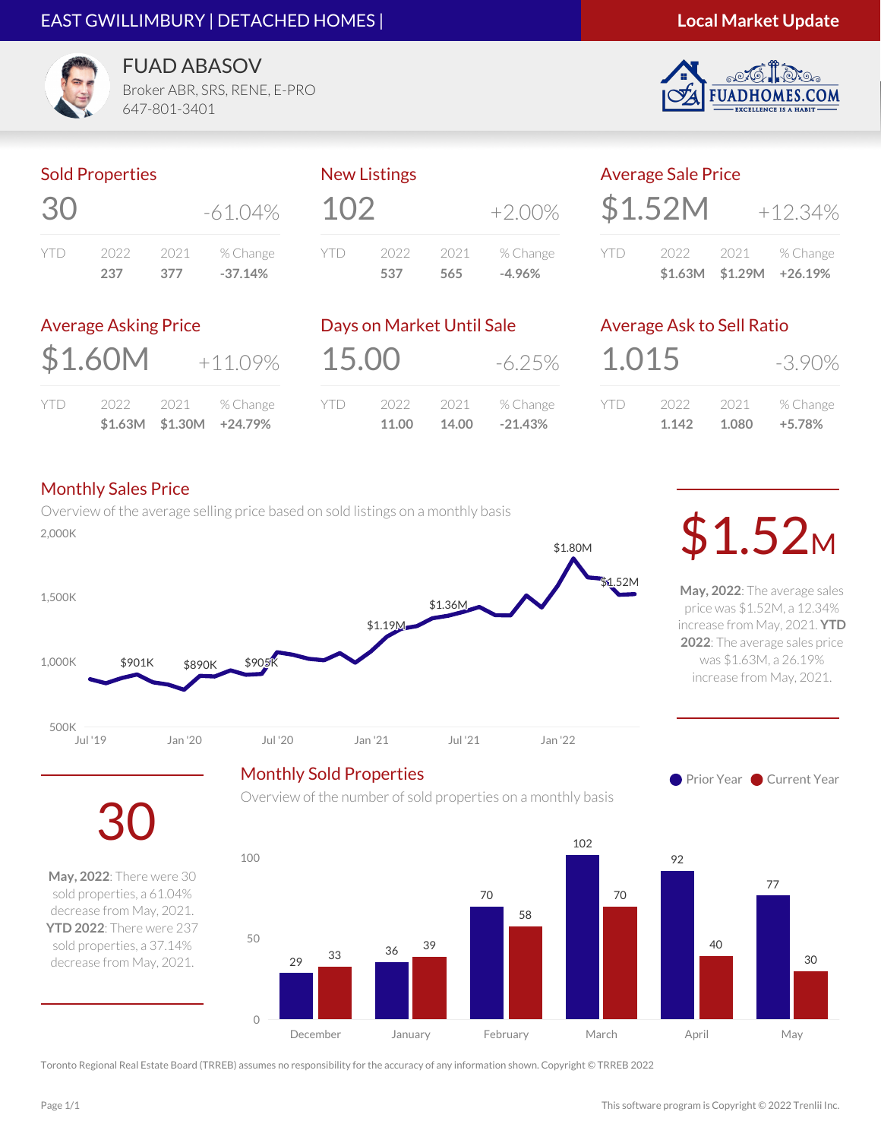#### EAST GWILLIMBURY | DETACHED HOMES |



S.COM



**FUAD ABASOV** Broker ABR, SRS, RENE, E-PRO

647-801-3401

#### Sold Properties

| 30      |      |      | $-61.04\%$ |
|---------|------|------|------------|
| Y     ) | 2022 | 2021 | % Change   |
|         | 237  | 377  | $-37.14%$  |

# $102 +2.00\%$ YTD 2022 2021 % Change **537 565 -4.96%**

New Listings

|     | <b>Average Sale Price</b> |                         |
|-----|---------------------------|-------------------------|
|     | \$1.52M                   | $+12.34%$               |
| YID | 2022                      | 2021 % Change           |
|     |                           | \$1.63M \$1.29M +26.19% |

#### Average Asking Price

| \$1.60M |  | $+11.09%$          |
|---------|--|--------------------|
| YTD     |  | 2022 2021 % Change |

**\$1.63M \$1.30M +24.79%**

|       | Days on Market Until Sale |       |           |
|-------|---------------------------|-------|-----------|
| 15.00 |                           |       | $-6.25\%$ |
| YTD   | 2022                      | 2021  | % Change  |
|       | 11.00                     | 14.00 | $-21.43%$ |

#### Average Ask to Sell Ratio

| 1.015 |       |       | $-3.90\%$ |
|-------|-------|-------|-----------|
| YID   | 2022  | 2021  | % Change  |
|       | 1.142 | 1.080 | $+5.78%$  |

#### Monthly Sales Price

Overview of the average selling price based on sold listings on a monthly basis DVerview of the average selling price based on sold listings on a monthly basis strated on the strategy of the strategy of a monthly basis strategy of the strategy of the strategy of the strategy of the strategy of the str



Monthly Sold Properties

**May, 2022**: The average sales price was \$1.52M, a 12.34% increase from May, 2021. **YTD 2022**: The average sales price was \$1.63M, a 26.19% increase from May, 2021.

**Prior Year Current Year** 

30

**May, 2022**: There were 30 sold properties, a 61.04% decrease from May, 2021. **YTD 2022**: There were 237 sold properties, a 37.14% decrease from May, 2021.

Overview of the number of sold properties on a monthly basis